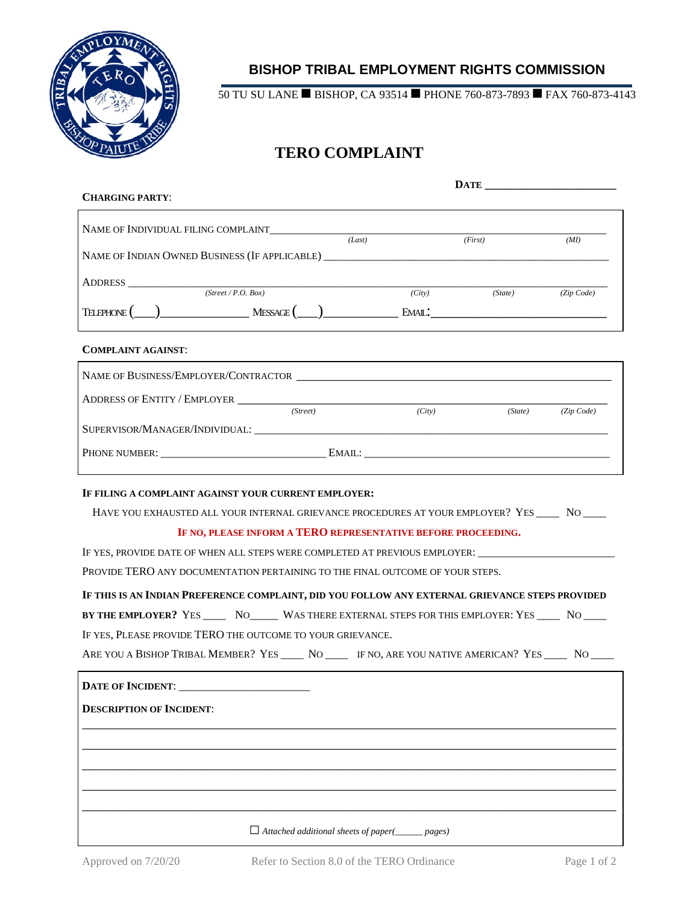

## **BISHOP TRIBAL EMPLOYMENT RIGHTS COMMISSION**

50 TU SU LANE ■ BISHOP, CA 93514 ■ PHONE 760-873-7893 ■ FAX 760-873-4143

# **TERO COMPLAINT**

| <b>CHARGING PARTY:</b> |  |                                         |                                                                                                                                                                                                                                                                                  |  |  |
|------------------------|--|-----------------------------------------|----------------------------------------------------------------------------------------------------------------------------------------------------------------------------------------------------------------------------------------------------------------------------------|--|--|
|                        |  |                                         |                                                                                                                                                                                                                                                                                  |  |  |
|                        |  |                                         | (MI)                                                                                                                                                                                                                                                                             |  |  |
|                        |  |                                         |                                                                                                                                                                                                                                                                                  |  |  |
|                        |  |                                         |                                                                                                                                                                                                                                                                                  |  |  |
|                        |  |                                         |                                                                                                                                                                                                                                                                                  |  |  |
|                        |  |                                         |                                                                                                                                                                                                                                                                                  |  |  |
|                        |  |                                         |                                                                                                                                                                                                                                                                                  |  |  |
|                        |  |                                         |                                                                                                                                                                                                                                                                                  |  |  |
|                        |  |                                         |                                                                                                                                                                                                                                                                                  |  |  |
| (Street)               |  |                                         | (State) (Zip Code)                                                                                                                                                                                                                                                               |  |  |
|                        |  |                                         |                                                                                                                                                                                                                                                                                  |  |  |
|                        |  |                                         |                                                                                                                                                                                                                                                                                  |  |  |
|                        |  |                                         |                                                                                                                                                                                                                                                                                  |  |  |
|                        |  | (Last)<br>ADDRESS $(Street / P.O. Box)$ | (First)<br>(City) (State) (Zip Code)<br>ADDRESS OF ENTITY / EMPLOYER LEADER AND THE SERVICE OF EXAMPLE AND THE SERVICE OF EXAMPLE AND THE SERVICE OF THE SERVICE OF THE SERVICE OF THE SERVICE OF THE SERVICE OF THE SERVICE OF THE SERVICE OF THE SERVICE OF THE SERV<br>(City) |  |  |

## **IF FILING A COMPLAINT AGAINST YOUR CURRENT EMPLOYER:**

HAVE YOU EXHAUSTED ALL YOUR INTERNAL GRIEVANCE PROCEDURES AT YOUR EMPLOYER? YES \_\_\_\_\_ NO \_\_\_\_\_

#### **IF NO, PLEASE INFORM A TERO REPRESENTATIVE BEFORE PROCEEDING.**

IF YES, PROVIDE DATE OF WHEN ALL STEPS WERE COMPLETED AT PREVIOUS EMPLOYER:  $\_\_$ 

PROVIDE TERO ANY DOCUMENTATION PERTAINING TO THE FINAL OUTCOME OF YOUR STEPS.

**IF THIS IS AN INDIAN PREFERENCE COMPLAINT, DID YOU FOLLOW ANY EXTERNAL GRIEVANCE STEPS PROVIDED** 

**BY THE EMPLOYER?** YES \_\_\_\_ NO\_\_\_\_\_ WAS THERE EXTERNAL STEPS FOR THIS EMPLOYER: YES \_\_\_\_ NO \_\_\_\_ IF YES, PLEASE PROVIDE TERO THE OUTCOME TO YOUR GRIEVANCE.

ARE YOU A BISHOP TRIBAL MEMBER? YES \_\_\_\_\_ NO \_\_\_\_\_ IF NO, ARE YOU NATIVE AMERICAN? YES \_\_\_\_\_ NO \_\_\_\_

| <b>DESCRIPTION OF INCIDENT:</b> |                                                             |
|---------------------------------|-------------------------------------------------------------|
|                                 |                                                             |
|                                 |                                                             |
|                                 |                                                             |
|                                 |                                                             |
|                                 | $\Box$ Attached additional sheets of paper( $\_\_\_$ pages) |